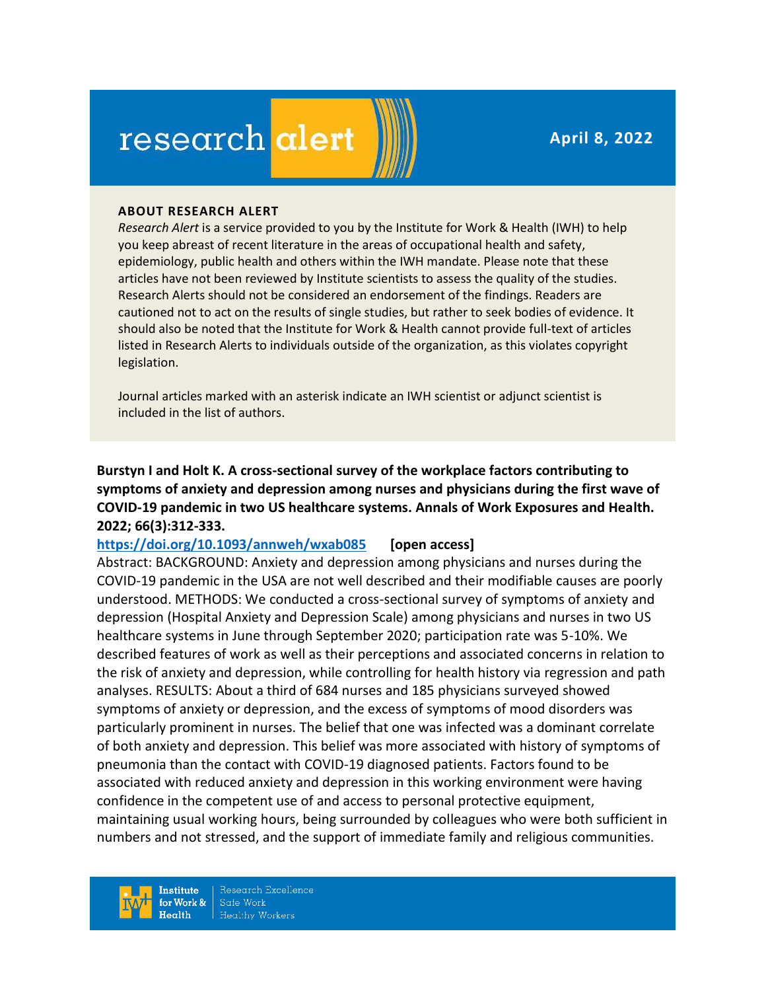**April 8, 2022**

# research alert

#### **ABOUT RESEARCH ALERT**

*Research Alert* is a service provided to you by the Institute for Work & Health (IWH) to help you keep abreast of recent literature in the areas of occupational health and safety, epidemiology, public health and others within the IWH mandate. Please note that these articles have not been reviewed by Institute scientists to assess the quality of the studies. Research Alerts should not be considered an endorsement of the findings. Readers are cautioned not to act on the results of single studies, but rather to seek bodies of evidence. It should also be noted that the Institute for Work & Health cannot provide full-text of articles listed in Research Alerts to individuals outside of the organization, as this violates copyright legislation.

Journal articles marked with an asterisk indicate an IWH scientist or adjunct scientist is included in the list of authors.

**Burstyn I and Holt K. A cross-sectional survey of the workplace factors contributing to symptoms of anxiety and depression among nurses and physicians during the first wave of COVID-19 pandemic in two US healthcare systems. Annals of Work Exposures and Health. 2022; 66(3):312-333.** 

### **<https://doi.org/10.1093/annweh/wxab085>[open access]**

Abstract: BACKGROUND: Anxiety and depression among physicians and nurses during the COVID-19 pandemic in the USA are not well described and their modifiable causes are poorly understood. METHODS: We conducted a cross-sectional survey of symptoms of anxiety and depression (Hospital Anxiety and Depression Scale) among physicians and nurses in two US healthcare systems in June through September 2020; participation rate was 5-10%. We described features of work as well as their perceptions and associated concerns in relation to the risk of anxiety and depression, while controlling for health history via regression and path analyses. RESULTS: About a third of 684 nurses and 185 physicians surveyed showed symptoms of anxiety or depression, and the excess of symptoms of mood disorders was particularly prominent in nurses. The belief that one was infected was a dominant correlate of both anxiety and depression. This belief was more associated with history of symptoms of pneumonia than the contact with COVID-19 diagnosed patients. Factors found to be associated with reduced anxiety and depression in this working environment were having confidence in the competent use of and access to personal protective equipment, maintaining usual working hours, being surrounded by colleagues who were both sufficient in numbers and not stressed, and the support of immediate family and religious communities.

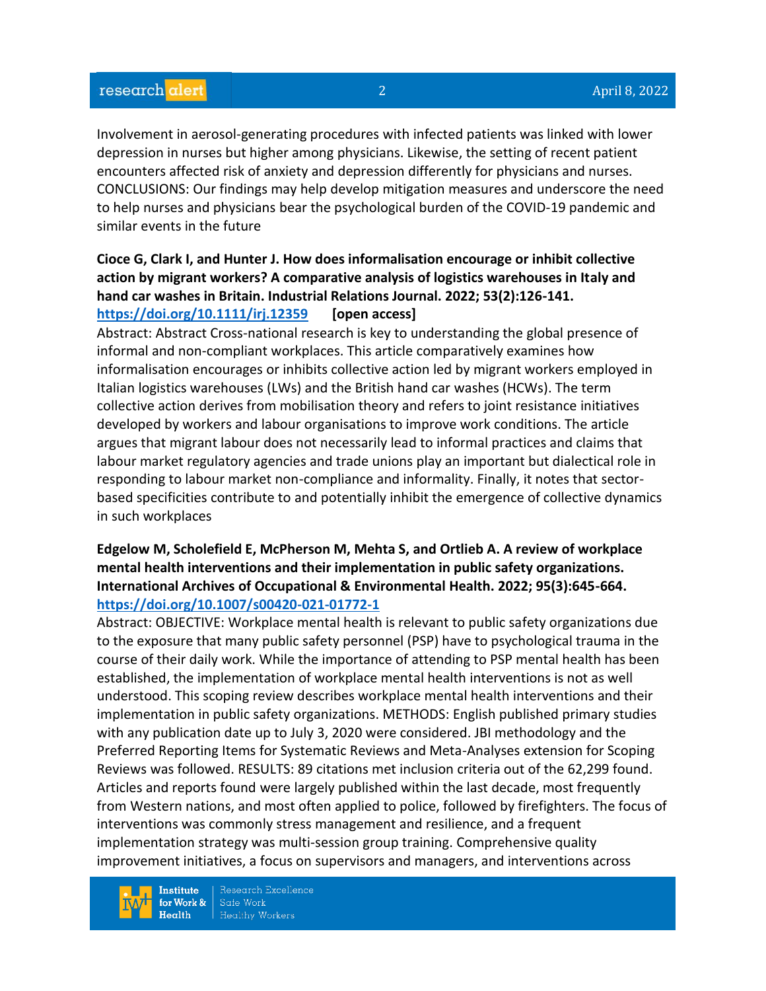Involvement in aerosol-generating procedures with infected patients was linked with lower depression in nurses but higher among physicians. Likewise, the setting of recent patient encounters affected risk of anxiety and depression differently for physicians and nurses. CONCLUSIONS: Our findings may help develop mitigation measures and underscore the need to help nurses and physicians bear the psychological burden of the COVID-19 pandemic and similar events in the future

# **Cioce G, Clark I, and Hunter J. How does informalisation encourage or inhibit collective action by migrant workers? A comparative analysis of logistics warehouses in Italy and hand car washes in Britain. Industrial Relations Journal. 2022; 53(2):126-141. <https://doi.org/10.1111/irj.12359>[open access]**

Abstract: Abstract Cross-national research is key to understanding the global presence of informal and non-compliant workplaces. This article comparatively examines how informalisation encourages or inhibits collective action led by migrant workers employed in Italian logistics warehouses (LWs) and the British hand car washes (HCWs). The term collective action derives from mobilisation theory and refers to joint resistance initiatives developed by workers and labour organisations to improve work conditions. The article argues that migrant labour does not necessarily lead to informal practices and claims that labour market regulatory agencies and trade unions play an important but dialectical role in responding to labour market non-compliance and informality. Finally, it notes that sectorbased specificities contribute to and potentially inhibit the emergence of collective dynamics in such workplaces

# **Edgelow M, Scholefield E, McPherson M, Mehta S, and Ortlieb A. A review of workplace mental health interventions and their implementation in public safety organizations. International Archives of Occupational & Environmental Health. 2022; 95(3):645-664. <https://doi.org/10.1007/s00420-021-01772-1>**

Abstract: OBJECTIVE: Workplace mental health is relevant to public safety organizations due to the exposure that many public safety personnel (PSP) have to psychological trauma in the course of their daily work. While the importance of attending to PSP mental health has been established, the implementation of workplace mental health interventions is not as well understood. This scoping review describes workplace mental health interventions and their implementation in public safety organizations. METHODS: English published primary studies with any publication date up to July 3, 2020 were considered. JBI methodology and the Preferred Reporting Items for Systematic Reviews and Meta-Analyses extension for Scoping Reviews was followed. RESULTS: 89 citations met inclusion criteria out of the 62,299 found. Articles and reports found were largely published within the last decade, most frequently from Western nations, and most often applied to police, followed by firefighters. The focus of interventions was commonly stress management and resilience, and a frequent implementation strategy was multi-session group training. Comprehensive quality improvement initiatives, a focus on supervisors and managers, and interventions across

**Institute** for Work &  $Health$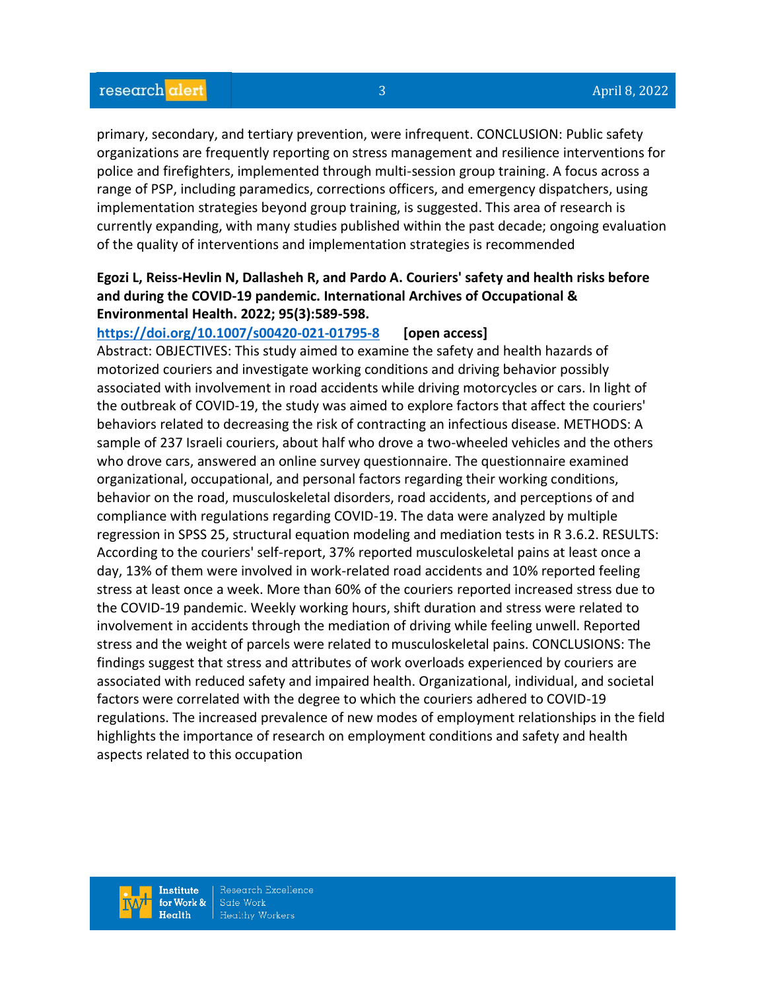primary, secondary, and tertiary prevention, were infrequent. CONCLUSION: Public safety organizations are frequently reporting on stress management and resilience interventions for police and firefighters, implemented through multi-session group training. A focus across a range of PSP, including paramedics, corrections officers, and emergency dispatchers, using implementation strategies beyond group training, is suggested. This area of research is currently expanding, with many studies published within the past decade; ongoing evaluation of the quality of interventions and implementation strategies is recommended

# **Egozi L, Reiss-Hevlin N, Dallasheh R, and Pardo A. Couriers' safety and health risks before and during the COVID-19 pandemic. International Archives of Occupational & Environmental Health. 2022; 95(3):589-598.**

### **<https://doi.org/10.1007/s00420-021-01795-8>[open access]**

Abstract: OBJECTIVES: This study aimed to examine the safety and health hazards of motorized couriers and investigate working conditions and driving behavior possibly associated with involvement in road accidents while driving motorcycles or cars. In light of the outbreak of COVID-19, the study was aimed to explore factors that affect the couriers' behaviors related to decreasing the risk of contracting an infectious disease. METHODS: A sample of 237 Israeli couriers, about half who drove a two-wheeled vehicles and the others who drove cars, answered an online survey questionnaire. The questionnaire examined organizational, occupational, and personal factors regarding their working conditions, behavior on the road, musculoskeletal disorders, road accidents, and perceptions of and compliance with regulations regarding COVID-19. The data were analyzed by multiple regression in SPSS 25, structural equation modeling and mediation tests in R 3.6.2. RESULTS: According to the couriers' self-report, 37% reported musculoskeletal pains at least once a day, 13% of them were involved in work-related road accidents and 10% reported feeling stress at least once a week. More than 60% of the couriers reported increased stress due to the COVID-19 pandemic. Weekly working hours, shift duration and stress were related to involvement in accidents through the mediation of driving while feeling unwell. Reported stress and the weight of parcels were related to musculoskeletal pains. CONCLUSIONS: The findings suggest that stress and attributes of work overloads experienced by couriers are associated with reduced safety and impaired health. Organizational, individual, and societal factors were correlated with the degree to which the couriers adhered to COVID-19 regulations. The increased prevalence of new modes of employment relationships in the field highlights the importance of research on employment conditions and safety and health aspects related to this occupation

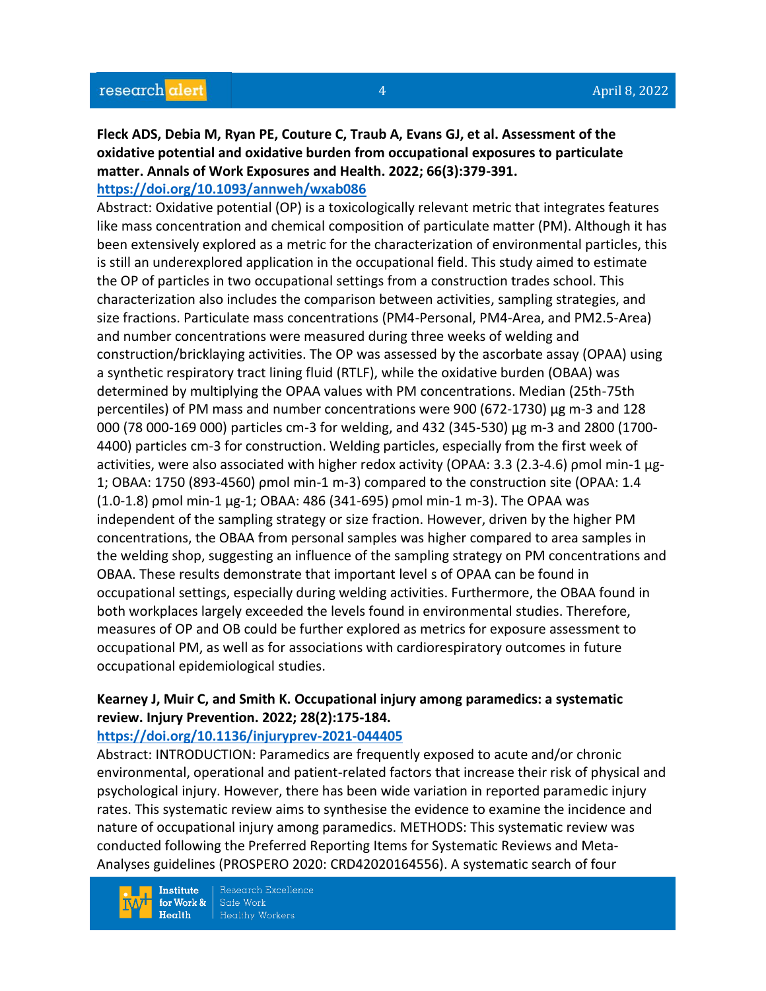# **Fleck ADS, Debia M, Ryan PE, Couture C, Traub A, Evans GJ, et al. Assessment of the oxidative potential and oxidative burden from occupational exposures to particulate matter. Annals of Work Exposures and Health. 2022; 66(3):379-391.**

# **<https://doi.org/10.1093/annweh/wxab086>**

Abstract: Oxidative potential (OP) is a toxicologically relevant metric that integrates features like mass concentration and chemical composition of particulate matter (PM). Although it has been extensively explored as a metric for the characterization of environmental particles, this is still an underexplored application in the occupational field. This study aimed to estimate the OP of particles in two occupational settings from a construction trades school. This characterization also includes the comparison between activities, sampling strategies, and size fractions. Particulate mass concentrations (PM4-Personal, PM4-Area, and PM2.5-Area) and number concentrations were measured during three weeks of welding and construction/bricklaying activities. The OP was assessed by the ascorbate assay (OPAA) using a synthetic respiratory tract lining fluid (RTLF), while the oxidative burden (OBAA) was determined by multiplying the OPAA values with PM concentrations. Median (25th-75th percentiles) of PM mass and number concentrations were 900 (672-1730) µg m-3 and 128 000 (78 000-169 000) particles cm-3 for welding, and 432 (345-530) µg m-3 and 2800 (1700- 4400) particles cm-3 for construction. Welding particles, especially from the first week of activities, were also associated with higher redox activity (OPAA: 3.3 (2.3-4.6) ρmol min-1 µg-1; OBAA: 1750 (893-4560) ρmol min-1 m-3) compared to the construction site (OPAA: 1.4 (1.0-1.8) ρmol min-1 µg-1; OBAA: 486 (341-695) ρmol min-1 m-3). The OPAA was independent of the sampling strategy or size fraction. However, driven by the higher PM concentrations, the OBAA from personal samples was higher compared to area samples in the welding shop, suggesting an influence of the sampling strategy on PM concentrations and OBAA. These results demonstrate that important level s of OPAA can be found in occupational settings, especially during welding activities. Furthermore, the OBAA found in both workplaces largely exceeded the levels found in environmental studies. Therefore, measures of OP and OB could be further explored as metrics for exposure assessment to occupational PM, as well as for associations with cardiorespiratory outcomes in future occupational epidemiological studies.

# **Kearney J, Muir C, and Smith K. Occupational injury among paramedics: a systematic review. Injury Prevention. 2022; 28(2):175-184.**

# **<https://doi.org/10.1136/injuryprev-2021-044405>**

Abstract: INTRODUCTION: Paramedics are frequently exposed to acute and/or chronic environmental, operational and patient-related factors that increase their risk of physical and psychological injury. However, there has been wide variation in reported paramedic injury rates. This systematic review aims to synthesise the evidence to examine the incidence and nature of occupational injury among paramedics. METHODS: This systematic review was conducted following the Preferred Reporting Items for Systematic Reviews and Meta-Analyses guidelines (PROSPERO 2020: CRD42020164556). A systematic search of four

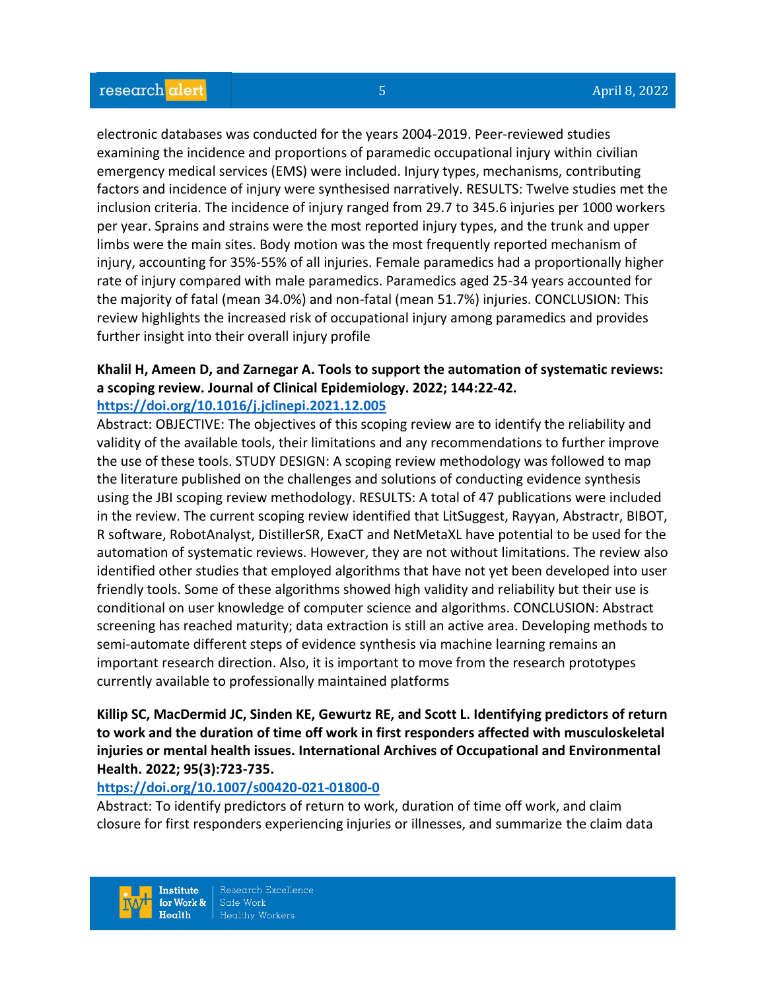electronic databases was conducted for the years 2004-2019. Peer-reviewed studies examining the incidence and proportions of paramedic occupational injury within civilian emergency medical services (EMS) were included. Injury types, mechanisms, contributing factors and incidence of injury were synthesised narratively. RESULTS: Twelve studies met the inclusion criteria. The incidence of injury ranged from 29.7 to 345.6 injuries per 1000 workers per year. Sprains and strains were the most reported injury types, and the trunk and upper limbs were the main sites. Body motion was the most frequently reported mechanism of injury, accounting for 35%-55% of all injuries. Female paramedics had a proportionally higher rate of injury compared with male paramedics. Paramedics aged 25-34 years accounted for the majority of fatal (mean 34.0%) and non-fatal (mean 51.7%) injuries. CONCLUSION: This review highlights the increased risk of occupational injury among paramedics and provides further insight into their overall injury profile

### **Khalil H, Ameen D, and Zarnegar A. Tools to support the automation of systematic reviews: a scoping review. Journal of Clinical Epidemiology. 2022; 144:22-42. <https://doi.org/10.1016/j.jclinepi.2021.12.005>**

Abstract: OBJECTIVE: The objectives of this scoping review are to identify the reliability and validity of the available tools, their limitations and any recommendations to further improve the use of these tools. STUDY DESIGN: A scoping review methodology was followed to map the literature published on the challenges and solutions of conducting evidence synthesis using the JBI scoping review methodology. RESULTS: A total of 47 publications were included in the review. The current scoping review identified that LitSuggest, Rayyan, Abstractr, BIBOT, R software, RobotAnalyst, DistillerSR, ExaCT and NetMetaXL have potential to be used for the automation of systematic reviews. However, they are not without limitations. The review also identified other studies that employed algorithms that have not yet been developed into user friendly tools. Some of these algorithms showed high validity and reliability but their use is conditional on user knowledge of computer science and algorithms. CONCLUSION: Abstract screening has reached maturity; data extraction is still an active area. Developing methods to semi-automate different steps of evidence synthesis via machine learning remains an important research direction. Also, it is important to move from the research prototypes currently available to professionally maintained platforms

# **Killip SC, MacDermid JC, Sinden KE, Gewurtz RE, and Scott L. Identifying predictors of return to work and the duration of time off work in first responders affected with musculoskeletal injuries or mental health issues. International Archives of Occupational and Environmental Health. 2022; 95(3):723-735.**

# **<https://doi.org/10.1007/s00420-021-01800-0>**

Abstract: To identify predictors of return to work, duration of time off work, and claim closure for first responders experiencing injuries or illnesses, and summarize the claim data

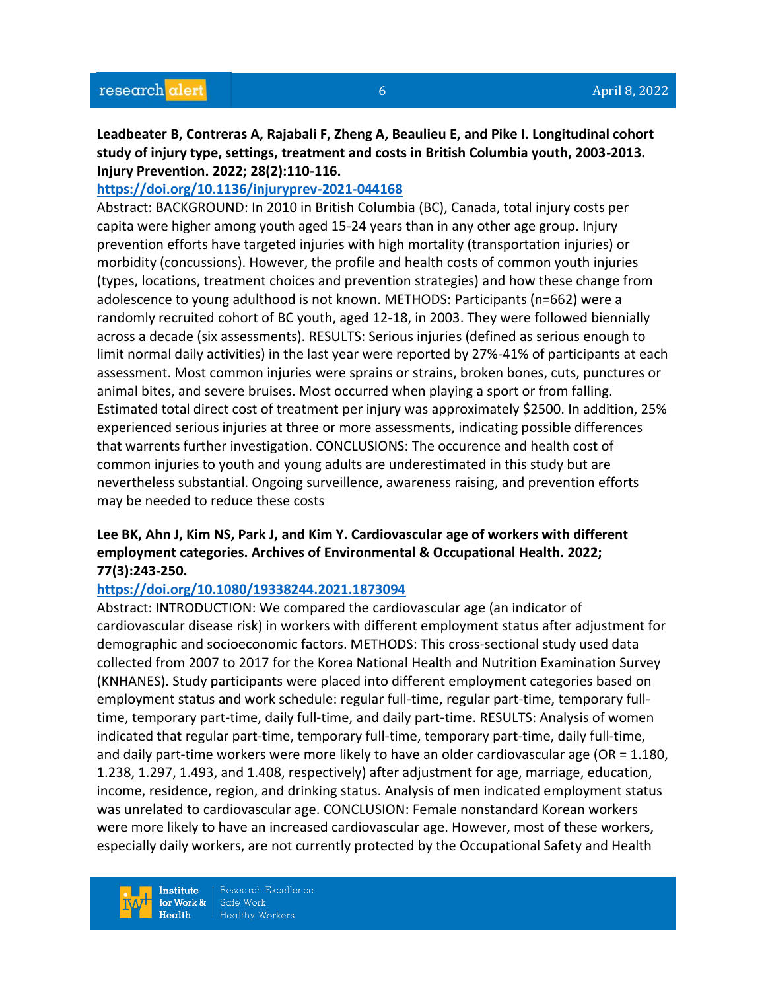**Leadbeater B, Contreras A, Rajabali F, Zheng A, Beaulieu E, and Pike I. Longitudinal cohort study of injury type, settings, treatment and costs in British Columbia youth, 2003-2013. Injury Prevention. 2022; 28(2):110-116.** 

#### **<https://doi.org/10.1136/injuryprev-2021-044168>**

Abstract: BACKGROUND: In 2010 in British Columbia (BC), Canada, total injury costs per capita were higher among youth aged 15-24 years than in any other age group. Injury prevention efforts have targeted injuries with high mortality (transportation injuries) or morbidity (concussions). However, the profile and health costs of common youth injuries (types, locations, treatment choices and prevention strategies) and how these change from adolescence to young adulthood is not known. METHODS: Participants (n=662) were a randomly recruited cohort of BC youth, aged 12-18, in 2003. They were followed biennially across a decade (six assessments). RESULTS: Serious injuries (defined as serious enough to limit normal daily activities) in the last year were reported by 27%-41% of participants at each assessment. Most common injuries were sprains or strains, broken bones, cuts, punctures or animal bites, and severe bruises. Most occurred when playing a sport or from falling. Estimated total direct cost of treatment per injury was approximately \$2500. In addition, 25% experienced serious injuries at three or more assessments, indicating possible differences that warrents further investigation. CONCLUSIONS: The occurence and health cost of common injuries to youth and young adults are underestimated in this study but are nevertheless substantial. Ongoing surveillence, awareness raising, and prevention efforts may be needed to reduce these costs

# **Lee BK, Ahn J, Kim NS, Park J, and Kim Y. Cardiovascular age of workers with different employment categories. Archives of Environmental & Occupational Health. 2022; 77(3):243-250.**

#### **<https://doi.org/10.1080/19338244.2021.1873094>**

Abstract: INTRODUCTION: We compared the cardiovascular age (an indicator of cardiovascular disease risk) in workers with different employment status after adjustment for demographic and socioeconomic factors. METHODS: This cross-sectional study used data collected from 2007 to 2017 for the Korea National Health and Nutrition Examination Survey (KNHANES). Study participants were placed into different employment categories based on employment status and work schedule: regular full-time, regular part-time, temporary fulltime, temporary part-time, daily full-time, and daily part-time. RESULTS: Analysis of women indicated that regular part-time, temporary full-time, temporary part-time, daily full-time, and daily part-time workers were more likely to have an older cardiovascular age (OR = 1.180, 1.238, 1.297, 1.493, and 1.408, respectively) after adjustment for age, marriage, education, income, residence, region, and drinking status. Analysis of men indicated employment status was unrelated to cardiovascular age. CONCLUSION: Female nonstandard Korean workers were more likely to have an increased cardiovascular age. However, most of these workers, especially daily workers, are not currently protected by the Occupational Safety and Health

Institute for Work &  $Heath$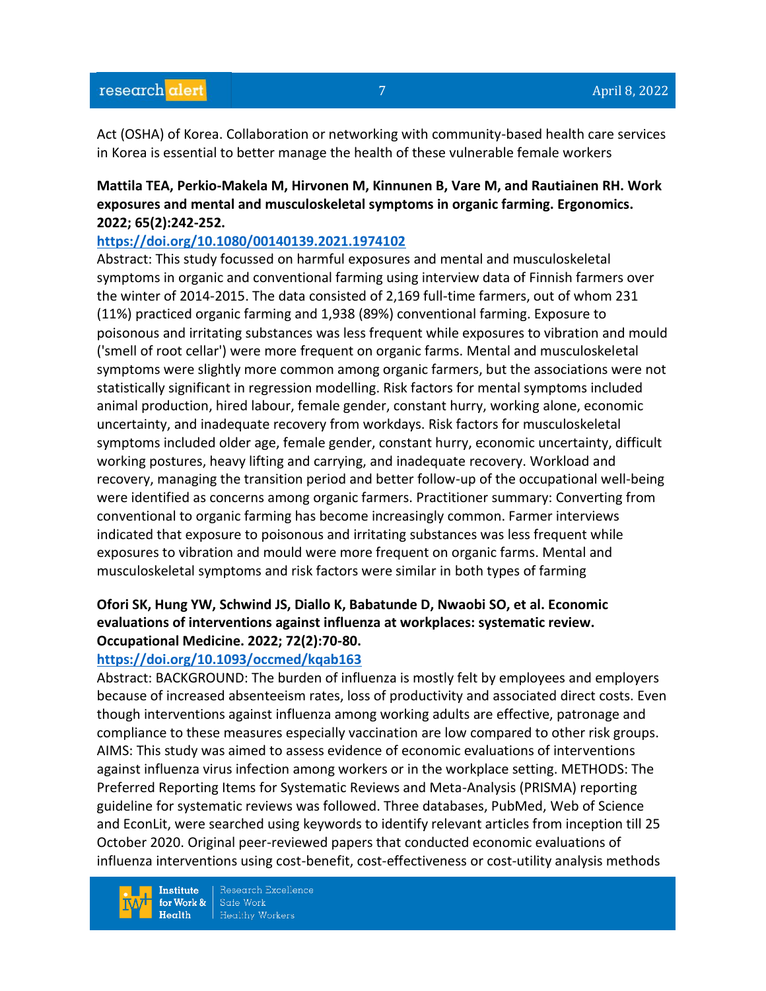Act (OSHA) of Korea. Collaboration or networking with community-based health care services in Korea is essential to better manage the health of these vulnerable female workers

# **Mattila TEA, Perkio-Makela M, Hirvonen M, Kinnunen B, Vare M, and Rautiainen RH. Work exposures and mental and musculoskeletal symptoms in organic farming. Ergonomics. 2022; 65(2):242-252.**

#### **<https://doi.org/10.1080/00140139.2021.1974102>**

Abstract: This study focussed on harmful exposures and mental and musculoskeletal symptoms in organic and conventional farming using interview data of Finnish farmers over the winter of 2014-2015. The data consisted of 2,169 full-time farmers, out of whom 231 (11%) practiced organic farming and 1,938 (89%) conventional farming. Exposure to poisonous and irritating substances was less frequent while exposures to vibration and mould ('smell of root cellar') were more frequent on organic farms. Mental and musculoskeletal symptoms were slightly more common among organic farmers, but the associations were not statistically significant in regression modelling. Risk factors for mental symptoms included animal production, hired labour, female gender, constant hurry, working alone, economic uncertainty, and inadequate recovery from workdays. Risk factors for musculoskeletal symptoms included older age, female gender, constant hurry, economic uncertainty, difficult working postures, heavy lifting and carrying, and inadequate recovery. Workload and recovery, managing the transition period and better follow-up of the occupational well-being were identified as concerns among organic farmers. Practitioner summary: Converting from conventional to organic farming has become increasingly common. Farmer interviews indicated that exposure to poisonous and irritating substances was less frequent while exposures to vibration and mould were more frequent on organic farms. Mental and musculoskeletal symptoms and risk factors were similar in both types of farming

# **Ofori SK, Hung YW, Schwind JS, Diallo K, Babatunde D, Nwaobi SO, et al. Economic evaluations of interventions against influenza at workplaces: systematic review. Occupational Medicine. 2022; 72(2):70-80.**

#### **<https://doi.org/10.1093/occmed/kqab163>**

Abstract: BACKGROUND: The burden of influenza is mostly felt by employees and employers because of increased absenteeism rates, loss of productivity and associated direct costs. Even though interventions against influenza among working adults are effective, patronage and compliance to these measures especially vaccination are low compared to other risk groups. AIMS: This study was aimed to assess evidence of economic evaluations of interventions against influenza virus infection among workers or in the workplace setting. METHODS: The Preferred Reporting Items for Systematic Reviews and Meta-Analysis (PRISMA) reporting guideline for systematic reviews was followed. Three databases, PubMed, Web of Science and EconLit, were searched using keywords to identify relevant articles from inception till 25 October 2020. Original peer-reviewed papers that conducted economic evaluations of influenza interventions using cost-benefit, cost-effectiveness or cost-utility analysis methods

**Institute** for Work &  $Health$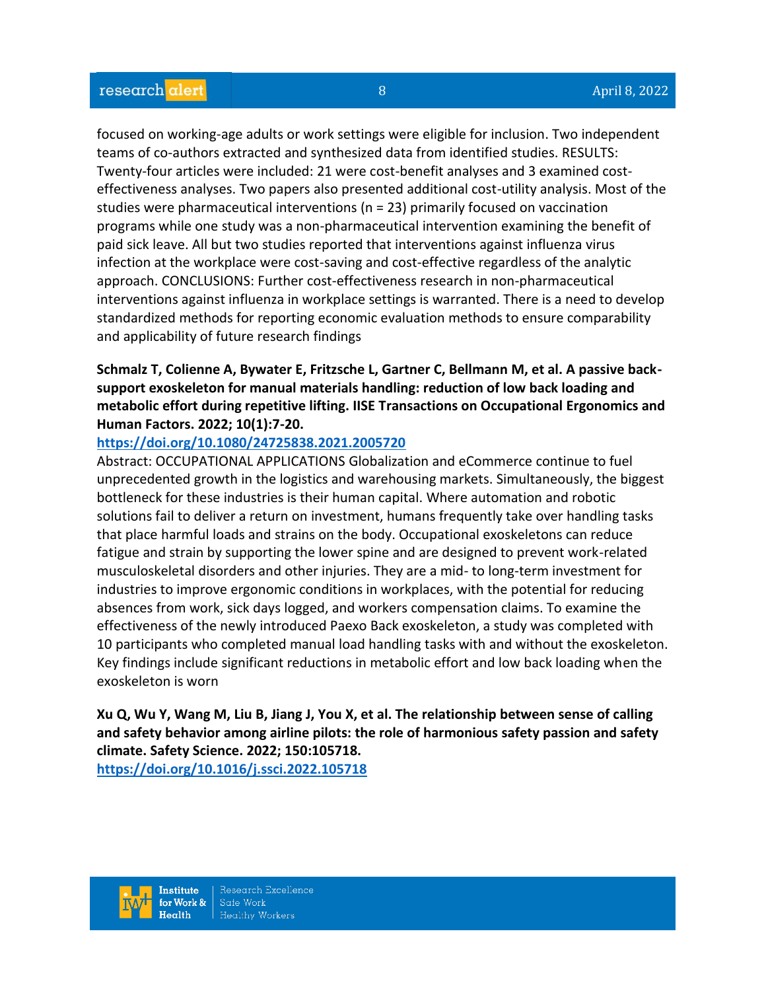focused on working-age adults or work settings were eligible for inclusion. Two independent teams of co-authors extracted and synthesized data from identified studies. RESULTS: Twenty-four articles were included: 21 were cost-benefit analyses and 3 examined costeffectiveness analyses. Two papers also presented additional cost-utility analysis. Most of the studies were pharmaceutical interventions (n = 23) primarily focused on vaccination programs while one study was a non-pharmaceutical intervention examining the benefit of paid sick leave. All but two studies reported that interventions against influenza virus infection at the workplace were cost-saving and cost-effective regardless of the analytic approach. CONCLUSIONS: Further cost-effectiveness research in non-pharmaceutical interventions against influenza in workplace settings is warranted. There is a need to develop standardized methods for reporting economic evaluation methods to ensure comparability and applicability of future research findings

# **Schmalz T, Colienne A, Bywater E, Fritzsche L, Gartner C, Bellmann M, et al. A passive backsupport exoskeleton for manual materials handling: reduction of low back loading and metabolic effort during repetitive lifting. IISE Transactions on Occupational Ergonomics and Human Factors. 2022; 10(1):7-20.**

### **<https://doi.org/10.1080/24725838.2021.2005720>**

Abstract: OCCUPATIONAL APPLICATIONS Globalization and eCommerce continue to fuel unprecedented growth in the logistics and warehousing markets. Simultaneously, the biggest bottleneck for these industries is their human capital. Where automation and robotic solutions fail to deliver a return on investment, humans frequently take over handling tasks that place harmful loads and strains on the body. Occupational exoskeletons can reduce fatigue and strain by supporting the lower spine and are designed to prevent work-related musculoskeletal disorders and other injuries. They are a mid- to long-term investment for industries to improve ergonomic conditions in workplaces, with the potential for reducing absences from work, sick days logged, and workers compensation claims. To examine the effectiveness of the newly introduced Paexo Back exoskeleton, a study was completed with 10 participants who completed manual load handling tasks with and without the exoskeleton. Key findings include significant reductions in metabolic effort and low back loading when the exoskeleton is worn

**Xu Q, Wu Y, Wang M, Liu B, Jiang J, You X, et al. The relationship between sense of calling and safety behavior among airline pilots: the role of harmonious safety passion and safety climate. Safety Science. 2022; 150:105718.**

**<https://doi.org/10.1016/j.ssci.2022.105718>**